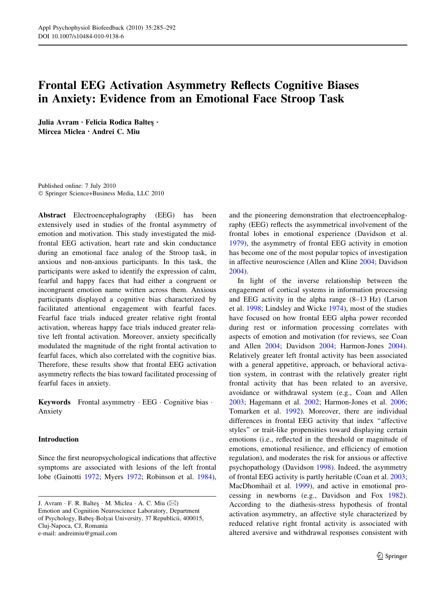# Frontal EEG Activation Asymmetry Reflects Cognitive Biases in Anxiety: Evidence from an Emotional Face Stroop Task

Julia Avram · Felicia Rodica Baltes · Mircea Miclea • Andrei C. Miu

Published online: 7 July 2010 - Springer Science+Business Media, LLC 2010

Abstract Electroencephalography (EEG) has been extensively used in studies of the frontal asymmetry of emotion and motivation. This study investigated the midfrontal EEG activation, heart rate and skin conductance during an emotional face analog of the Stroop task, in anxious and non-anxious participants. In this task, the participants were asked to identify the expression of calm, fearful and happy faces that had either a congruent or incongruent emotion name written across them. Anxious participants displayed a cognitive bias characterized by facilitated attentional engagement with fearful faces. Fearful face trials induced greater relative right frontal activation, whereas happy face trials induced greater relative left frontal activation. Moreover, anxiety specifically modulated the magnitude of the right frontal activation to fearful faces, which also correlated with the cognitive bias. Therefore, these results show that frontal EEG activation asymmetry reflects the bias toward facilitated processing of fearful faces in anxiety.

Keywords Frontal asymmetry · EEG · Cognitive bias · Anxiety

# Introduction

Since the first neuropsychological indications that affective symptoms are associated with lesions of the left frontal lobe (Gainotti [1972;](#page-6-0) Myers [1972;](#page-6-0) Robinson et al. [1984](#page-6-0)), and the pioneering demonstration that electroencephalography (EEG) reflects the asymmetrical involvement of the frontal lobes in emotional experience (Davidson et al. [1979](#page-6-0)), the asymmetry of frontal EEG activity in emotion has become one of the most popular topics of investigation in affective neuroscience (Allen and Kline [2004](#page-5-0); Davidson [2004](#page-6-0)).

In light of the inverse relationship between the engagement of cortical systems in information processing and EEG activity in the alpha range (8–13 Hz) (Larson et al. [1998;](#page-6-0) Lindsley and Wicke [1974](#page-6-0)), most of the studies have focused on how frontal EEG alpha power recorded during rest or information processing correlates with aspects of emotion and motivation (for reviews, see Coan and Allen [2004](#page-5-0); Davidson [2004](#page-6-0); Harmon-Jones [2004](#page-6-0)). Relatively greater left frontal activity has been associated with a general appetitive, approach, or behavioral activation system, in contrast with the relatively greater right frontal activity that has been related to an aversive, avoidance or withdrawal system (e.g., Coan and Allen [2003](#page-5-0); Hagemann et al. [2002](#page-6-0); Harmon-Jones et al. [2006](#page-6-0); Tomarken et al. [1992](#page-6-0)). Moreover, there are individual differences in frontal EEG activity that index ''affective styles'' or trait-like propensities toward displaying certain emotions (i.e., reflected in the threshold or magnitude of emotions, emotional resilience, and efficiency of emotion regulation), and moderates the risk for anxious or affective psychopathology (Davidson [1998](#page-6-0)). Indeed, the asymmetry of frontal EEG activity is partly heritable (Coan et al. [2003](#page-5-0); MacDhomhail et al. [1999\)](#page-6-0), and active in emotional processing in newborns (e.g., Davidson and Fox [1982](#page-6-0)). According to the diathesis-stress hypothesis of frontal activation asymmetry, an affective style characterized by reduced relative right frontal activity is associated with altered aversive and withdrawal responses consistent with

J. Avram  $\cdot$  F. R. Balteş  $\cdot$  M. Miclea  $\cdot$  A. C. Miu ( $\boxtimes$ ) Emotion and Cognition Neuroscience Laboratory, Department of Psychology, Babes¸-Bolyai University, 37 Republicii, 400015, Cluj-Napoca, CJ, Romania e-mail: andreimiu@gmail.com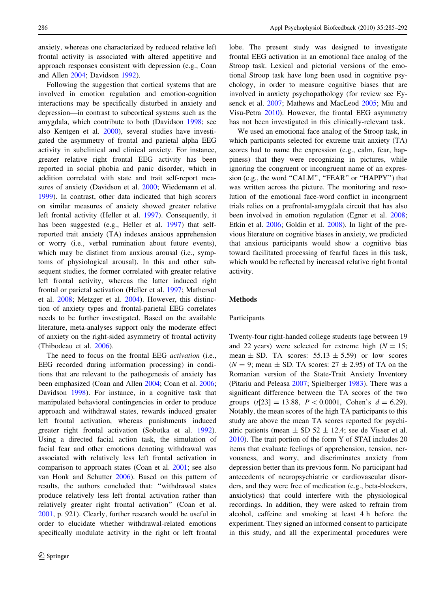anxiety, whereas one characterized by reduced relative left frontal activity is associated with altered appetitive and approach responses consistent with depression (e.g., Coan and Allen [2004](#page-5-0); Davidson [1992\)](#page-6-0).

Following the suggestion that cortical systems that are involved in emotion regulation and emotion-cognition interactions may be specifically disturbed in anxiety and depression—in contrast to subcortical systems such as the amygdala, which contribute to both (Davidson [1998](#page-6-0); see also Kentgen et al. [2000](#page-6-0)), several studies have investigated the asymmetry of frontal and parietal alpha EEG activity in subclinical and clinical anxiety. For instance, greater relative right frontal EEG activity has been reported in social phobia and panic disorder, which in addition correlated with state and trait self-report measures of anxiety (Davidson et al. [2000;](#page-6-0) Wiedemann et al. [1999\)](#page-7-0). In contrast, other data indicated that high scorers on similar measures of anxiety showed greater relative left frontal activity (Heller et al. [1997\)](#page-6-0). Consequently, it has been suggested (e.g., Heller et al. [1997](#page-6-0)) that selfreported trait anxiety (TA) indexes anxious apprehension or worry (i.e., verbal rumination about future events), which may be distinct from anxious arousal (i.e., symptoms of physiological arousal). In this and other subsequent studies, the former correlated with greater relative left frontal activity, whereas the latter induced right frontal or parietal activation (Heller et al. [1997;](#page-6-0) Mathersul et al. [2008;](#page-6-0) Metzger et al. [2004\)](#page-6-0). However, this distinction of anxiety types and frontal-parietal EEG correlates needs to be further investigated. Based on the available literature, meta-analyses support only the moderate effect of anxiety on the right-sided asymmetry of frontal activity (Thibodeau et al. [2006](#page-6-0)).

The need to focus on the frontal EEG activation (i.e., EEG recorded during information processing) in conditions that are relevant to the pathogenesis of anxiety has been emphasized (Coan and Allen [2004](#page-5-0); Coan et al. [2006](#page-6-0); Davidson [1998\)](#page-6-0). For instance, in a cognitive task that manipulated behavioral contingencies in order to produce approach and withdrawal states, rewards induced greater left frontal activation, whereas punishments induced greater right frontal activation (Sobotka et al. [1992](#page-6-0)). Using a directed facial action task, the simulation of facial fear and other emotions denoting withdrawal was associated with relatively less left frontal activation in comparison to approach states (Coan et al. [2001](#page-5-0); see also van Honk and Schutter [2006](#page-7-0)). Based on this pattern of results, the authors concluded that: ''withdrawal states produce relatively less left frontal activation rather than relatively greater right frontal activation'' (Coan et al. [2001,](#page-5-0) p. 921). Clearly, further research would be useful in order to elucidate whether withdrawal-related emotions specifically modulate activity in the right or left frontal lobe. The present study was designed to investigate frontal EEG activation in an emotional face analog of the Stroop task. Lexical and pictorial versions of the emotional Stroop task have long been used in cognitive psychology, in order to measure cognitive biases that are involved in anxiety psychopathology (for review see Eysenck et al. [2007;](#page-6-0) Mathews and MacLeod [2005](#page-6-0); Miu and Visu-Petra [2010](#page-6-0)). However, the frontal EEG asymmetry has not been investigated in this clinically-relevant task.

We used an emotional face analog of the Stroop task, in which participants selected for extreme trait anxiety (TA) scores had to name the expression (e.g., calm, fear, happiness) that they were recognizing in pictures, while ignoring the congruent or incongruent name of an expression (e.g., the word "CALM", "FEAR" or "HAPPY") that was written across the picture. The monitoring and resolution of the emotional face-word conflict in incongruent trials relies on a prefrontal-amygdala circuit that has also been involved in emotion regulation (Egner et al. [2008](#page-6-0); Etkin et al. [2006;](#page-6-0) Goldin et al. [2008](#page-6-0)). In light of the previous literature on cognitive biases in anxiety, we predicted that anxious participants would show a cognitive bias toward facilitated processing of fearful faces in this task, which would be reflected by increased relative right frontal activity.

# Methods

## Participants

Twenty-four right-handed college students (age between 19 and 22 years) were selected for extreme high  $(N = 15)$ ; mean  $\pm$  SD. TA scores: 55.13  $\pm$  5.59) or low scores  $(N = 9; \text{ mean } \pm \text{ SD}$ . TA scores:  $27 \pm 2.95$  of TA on the Romanian version of the State-Trait Anxiety Inventory (Pitariu and Peleasa [2007](#page-6-0); Spielberger [1983\)](#page-6-0). There was a significant difference between the TA scores of the two groups  $(t[23] = 13.88, P < 0.0001, \text{ Cohen's } d = 6.29).$ Notably, the mean scores of the high TA participants to this study are above the mean TA scores reported for psychiatric patients (mean  $\pm$  SD 52  $\pm$  12.4; see de Visser et al. [2010](#page-6-0)). The trait portion of the form Y of STAI includes 20 items that evaluate feelings of apprehension, tension, nervousness, and worry, and discriminates anxiety from depression better than its previous form. No participant had antecedents of neuropsychiatric or cardiovascular disorders, and they were free of medication (e.g., beta-blockers, anxiolytics) that could interfere with the physiological recordings. In addition, they were asked to refrain from alcohol, caffeine and smoking at least 4 h before the experiment. They signed an informed consent to participate in this study, and all the experimental procedures were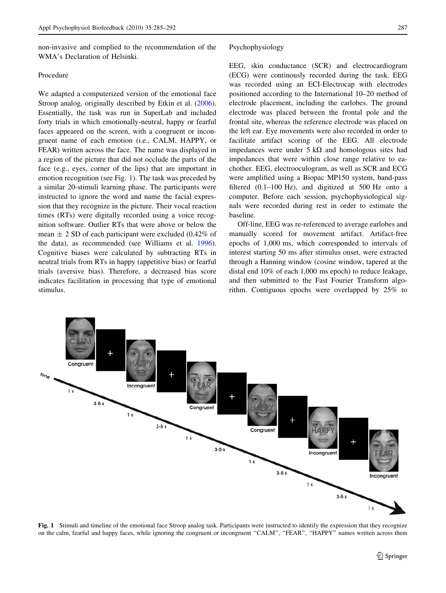non-invasive and complied to the recommendation of the WMA's Declaration of Helsinki.

## Procedure

We adapted a computerized version of the emotional face Stroop analog, originally described by Etkin et al. [\(2006](#page-6-0)). Essentially, the task was run in SuperLab and included forty trials in which emotionally-neutral, happy or fearful faces appeared on the screen, with a congruent or incongruent name of each emotion (i.e., CALM, HAPPY, or FEAR) written across the face. The name was displayed in a region of the picture that did not occlude the parts of the face (e.g., eyes, corner of the lips) that are important in emotion recognition (see Fig. 1). The task was preceded by a similar 20-stimuli learning phase. The participants were instructed to ignore the word and name the facial expression that they recognize in the picture. Their vocal reaction times (RTs) were digitally recorded using a voice recognition software. Outlier RTs that were above or below the mean  $\pm$  2 SD of each participant were excluded (0.42% of the data), as recommended (see Williams et al. [1996](#page-7-0)). Cognitive biases were calculated by subtracting RTs in neutral trials from RTs in happy (appetitive bias) or fearful trials (aversive bias). Therefore, a decreased bias score indicates facilitation in processing that type of emotional stimulus.

## Psychophysiology

EEG, skin conductance (SCR) and electrocardiogram (ECG) were continously recorded during the task. EEG was recorded using an ECI-Electrocap with electrodes positioned according to the International 10–20 method of electrode placement, including the earlobes. The ground electrode was placed between the frontal pole and the frontal site, whereas the reference electrode was placed on the left ear. Eye movements were also recorded in order to facilitate artifact scoring of the EEG. All electrode impedances were under  $5 \text{ k}\Omega$  and homologous sites had impedances that were within close range relative to eachother. EEG, electrooculogram, as well as SCR and ECG were amplified using a Biopac MP150 system, band-pass filtered (0.1–100 Hz), and digitized at 500 Hz onto a computer. Before each session, psychophysiological signals were recorded during rest in order to estimate the baseline.

Off-line, EEG was re-referenced to average earlobes and manually scored for movement artifact. Artifact-free epochs of 1,000 ms, which corresponded to intervals of interest starting 50 ms after stimulus onset, were extracted through a Hanning window (cosine window, tapered at the distal end 10% of each 1,000 ms epoch) to reduce leakage, and then submitted to the Fast Fourier Transform algorithm. Contiguous epochs were overlapped by 25% to



Fig. 1 Stimuli and timeline of the emotional face Stroop analog task. Participants were instructed to identify the expression that they recognize on the calm, fearful and happy faces, while ignoring the congruent or incongruent "CALM", "FEAR", "HAPPY" names written across them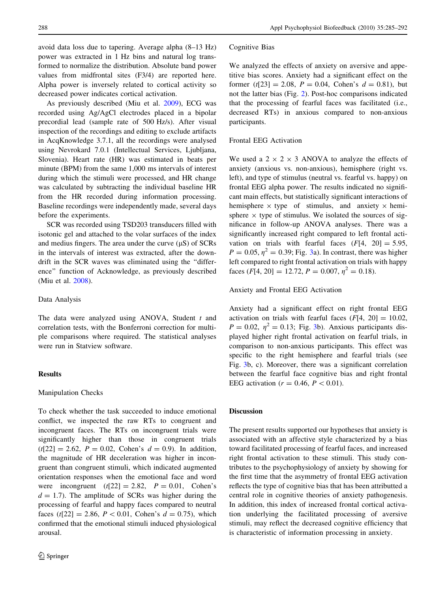avoid data loss due to tapering. Average alpha (8–13 Hz) power was extracted in 1 Hz bins and natural log transformed to normalize the distribution. Absolute band power values from midfrontal sites (F3/4) are reported here. Alpha power is inversely related to cortical activity so decreased power indicates cortical activation.

As previously described (Miu et al. [2009\)](#page-6-0), ECG was recorded using Ag/AgCl electrodes placed in a bipolar precordial lead (sample rate of 500 Hz/s). After visual inspection of the recordings and editing to exclude artifacts in AcqKnowledge 3.7.1, all the recordings were analysed using Nevrokard 7.0.1 (Intellectual Services, Ljubljana, Slovenia). Heart rate (HR) was estimated in beats per minute (BPM) from the same 1,000 ms intervals of interest during which the stimuli were processed, and HR change was calculated by subtracting the individual baseline HR from the HR recorded during information processing. Baseline recordings were independently made, several days before the experiments.

SCR was recorded using TSD203 transducers filled with isotonic gel and attached to the volar surfaces of the index and medius fingers. The area under the curve  $(\mu S)$  of SCRs in the intervals of interest was extracted, after the downdrift in the SCR waves was eliminated using the ''difference'' function of Acknowledge, as previously described (Miu et al. [2008\)](#page-6-0).

#### Data Analysis

The data were analyzed using ANOVA, Student  $t$  and correlation tests, with the Bonferroni correction for multiple comparisons where required. The statistical analyses were run in Statview software.

## Results

#### Manipulation Checks

To check whether the task succeeded to induce emotional conflict, we inspected the raw RTs to congruent and incongruent faces. The RTs on incongruent trials were significantly higher than those in congruent trials  $(t[22] = 2.62, P = 0.02, Cohen's d = 0.9)$ . In addition, the magnitude of HR deceleration was higher in incongruent than congruent stimuli, which indicated augmented orientation responses when the emotional face and word were incongruent  $(t[22] = 2.82, P = 0.01,$  Cohen's  $d = 1.7$ ). The amplitude of SCRs was higher during the processing of fearful and happy faces compared to neutral faces (t[22] = 2.86,  $P < 0.01$ , Cohen's  $d = 0.75$ ), which confirmed that the emotional stimuli induced physiological arousal.

#### Cognitive Bias

We analyzed the effects of anxiety on aversive and appetitive bias scores. Anxiety had a significant effect on the former  $(t[23] = 2.08, P = 0.04, \text{ Cohen's } d = 0.81, \text{ but}$ not the latter bias (Fig. [2](#page-4-0)). Post-hoc comparisons indicated that the processing of fearful faces was facilitated (i.e., decreased RTs) in anxious compared to non-anxious participants.

## Frontal EEG Activation

We used a  $2 \times 2 \times 3$  ANOVA to analyze the effects of anxiety (anxious vs. non-anxious), hemisphere (right vs. left), and type of stimulus (neutral vs. fearful vs. happy) on frontal EEG alpha power. The results indicated no significant main effects, but statistically significant interactions of hemisphere  $\times$  type of stimulus, and anxiety  $\times$  hemisphere  $\times$  type of stimulus. We isolated the sources of significance in follow-up ANOVA analyses. There was a significantly increased right compared to left frontal activation on trials with fearful faces  $(F[4, 20] = 5.95,$  $P = 0.05$ ,  $\eta^2 = 0.39$ ; Fig. [3a](#page-4-0)). In contrast, there was higher left compared to right frontal activation on trials with happy faces  $(F[4, 20] = 12.72, P = 0.007, \eta^2 = 0.18)$ .

#### Anxiety and Frontal EEG Activation

Anxiety had a significant effect on right frontal EEG activation on trials with fearful faces  $(F[4, 20] = 10.02$ ,  $P = 0.02$ ,  $\eta^2 = 0.13$ ; Fig. [3b](#page-4-0)). Anxious participants displayed higher right frontal activation on fearful trials, in comparison to non-anxious participants. This effect was specific to the right hemisphere and fearful trials (see Fig. [3](#page-4-0)b, c). Moreover, there was a significant correlation between the fearful face cognitive bias and right frontal EEG activation ( $r = 0.46$ ,  $P < 0.01$ ).

## Discussion

The present results supported our hypotheses that anxiety is associated with an affective style characterized by a bias toward facilitated processing of fearful faces, and increased right frontal activation to these stimuli. This study contributes to the psychophysiology of anxiety by showing for the first time that the asymmetry of frontal EEG activation reflects the type of cognitive bias that has been attributted a central role in cognitive theories of anxiety pathogenesis. In addition, this index of increased frontal cortical activation underlying the facilitated processing of aversive stimuli, may reflect the decreased cognitive efficiency that is characteristic of information processing in anxiety.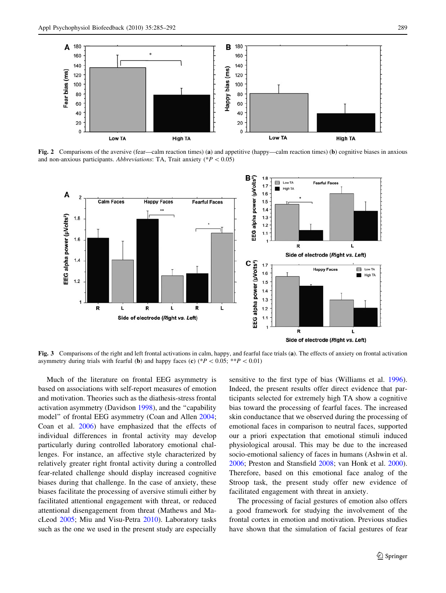<span id="page-4-0"></span>

Fig. 2 Comparisons of the aversive (fear—calm reaction times) (a) and appetitive (happy—calm reaction times) (b) cognitive biases in anxious and non-anxious participants. Abbreviations: TA, Trait anxiety ( $P < 0.05$ )



Fig. 3 Comparisons of the right and left frontal activations in calm, happy, and fearful face trials (a). The effects of anxiety on frontal activation asymmetry during trials with fearful (b) and happy faces (c) (\* $P\lt 0.05$ ; \*\*P $\lt 0.01$ )

Much of the literature on frontal EEG asymmetry is based on associations with self-report measures of emotion and motivation. Theories such as the diathesis-stress frontal activation asymmetry (Davidson [1998](#page-6-0)), and the ''capability model'' of frontal EEG asymmetry (Coan and Allen [2004](#page-5-0); Coan et al. [2006](#page-6-0)) have emphasized that the effects of individual differences in frontal activity may develop particularly during controlled laboratory emotional challenges. For instance, an affective style characterized by relatively greater right frontal activity during a controlled fear-related challenge should display increased cognitive biases during that challenge. In the case of anxiety, these biases facilitate the processing of aversive stimuli either by facilitated attentional engagement with threat, or reduced attentional disengagement from threat (Mathews and MacLeod [2005;](#page-6-0) Miu and Visu-Petra [2010](#page-6-0)). Laboratory tasks such as the one we used in the present study are especially

sensitive to the first type of bias (Williams et al. [1996](#page-7-0)). Indeed, the present results offer direct evidence that participants selected for extremely high TA show a cognitive bias toward the processing of fearful faces. The increased skin conductance that we observed during the processing of emotional faces in comparison to neutral faces, supported our a priori expectation that emotional stimuli induced physiological arousal. This may be due to the increased socio-emotional saliency of faces in humans (Ashwin et al. [2006](#page-5-0); Preston and Stansfield [2008;](#page-6-0) van Honk et al. [2000](#page-7-0)). Therefore, based on this emotional face analog of the Stroop task, the present study offer new evidence of facilitated engagement with threat in anxiety.

The processing of facial gestures of emotion also offers a good framework for studying the involvement of the frontal cortex in emotion and motivation. Previous studies have shown that the simulation of facial gestures of fear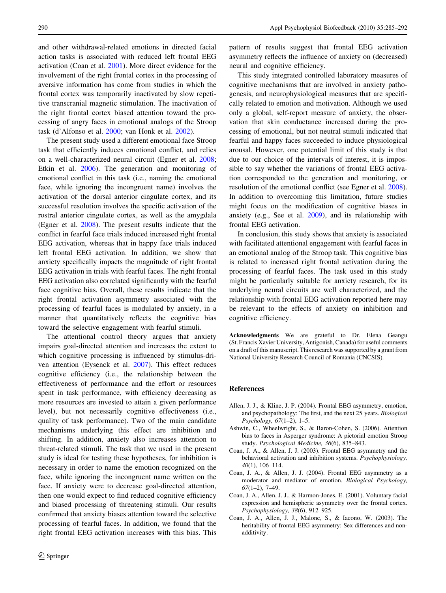<span id="page-5-0"></span>and other withdrawal-related emotions in directed facial action tasks is associated with reduced left frontal EEG activation (Coan et al. 2001). More direct evidence for the involvement of the right frontal cortex in the processing of aversive information has come from studies in which the frontal cortex was temporarily inactivated by slow repetitive transcranial magnetic stimulation. The inactivation of the right frontal cortex biased attention toward the processing of angry faces in emotional analogs of the Stroop task (d'Alfonso et al. [2000](#page-6-0); van Honk et al. [2002](#page-6-0)).

The present study used a different emotional face Stroop task that efficiently induces emotional conflict, and relies on a well-characterized neural circuit (Egner et al. [2008](#page-6-0); Etkin et al. [2006\)](#page-6-0). The generation and monitoring of emotional conflict in this task (i.e., naming the emotional face, while ignoring the incongruent name) involves the activation of the dorsal anterior cingulate cortex, and its successful resolution involves the specific activation of the rostral anterior cingulate cortex, as well as the amygdala (Egner et al. [2008](#page-6-0)). The present results indicate that the conflict in fearful face trials induced increased right frontal EEG activation, whereas that in happy face trials induced left frontal EEG activation. In addition, we show that anxiety specifically impacts the magnitude of right frontal EEG activation in trials with fearful faces. The right frontal EEG activation also correlated significantly with the fearful face cognitive bias. Overall, these results indicate that the right frontal activation asymmetry associated with the processing of fearful faces is modulated by anxiety, in a manner that quantitatively reflects the cognitive bias toward the selective engagement with fearful stimuli.

The attentional control theory argues that anxiety impairs goal-directed attention and increases the extent to which cognitive processing is influenced by stimulus-driven attention (Eysenck et al. [2007](#page-6-0)). This effect reduces cognitive efficiency (i.e., the relationship between the effectiveness of performance and the effort or resources spent in task performance, with efficiency decreasing as more resources are invested to attain a given performance level), but not necessarily cognitive effectiveness (i.e., quality of task performance). Two of the main candidate mechanisms underlying this effect are inhibition and shifting. In addition, anxiety also increases attention to threat-related stimuli. The task that we used in the present study is ideal for testing these hypotheses, for inhibition is necessary in order to name the emotion recognized on the face, while ignoring the incongruent name written on the face. If anxiety were to decrease goal-directed attention, then one would expect to find reduced cognitive efficiency and biased processing of threatening stimuli. Our results confirmed that anxiety biases attention toward the selective processing of fearful faces. In addition, we found that the right frontal EEG activation increases with this bias. This

pattern of results suggest that frontal EEG activation asymmetry reflects the influence of anxiety on (decreased) neural and cognitive efficiency.

This study integrated controlled laboratory measures of cognitive mechanisms that are involved in anxiety pathogenesis, and neurophysiological measures that are specifically related to emotion and motivation. Although we used only a global, self-report measure of anxiety, the observation that skin conductance increased during the processing of emotional, but not neutral stimuli indicated that fearful and happy faces succeeded to induce physiological arousal. However, one potential limit of this study is that due to our choice of the intervals of interest, it is impossible to say whether the variations of frontal EEG activation corresponded to the generation and monitoring, or resolution of the emotional conflict (see Egner et al. [2008](#page-6-0)). In addition to overcoming this limitation, future studies might focus on the modification of cognitive biases in anxiety (e.g., See et al. [2009\)](#page-6-0), and its relationship with frontal EEG activation.

In conclusion, this study shows that anxiety is associated with facilitated attentional engagement with fearful faces in an emotional analog of the Stroop task. This cognitive bias is related to increased right frontal activation during the processing of fearful faces. The task used in this study might be particularly suitable for anxiety research, for its underlying neural circuits are well characterized, and the relationship with frontal EEG activation reported here may be relevant to the effects of anxiety on inhibition and cognitive efficiency.

Acknowledgments We are grateful to Dr. Elena Geangu (St. Francis Xavier University, Antigonish, Canada) for useful comments on a draft of this manuscript. This research was supported by a grant from National University Research Council of Romania (CNCSIS).

## References

- Allen, J. J., & Kline, J. P. (2004). Frontal EEG asymmetry, emotion, and psychopathology: The first, and the next 25 years. Biological Psychology, 67(1–2), 1–5.
- Ashwin, C., Wheelwright, S., & Baron-Cohen, S. (2006). Attention bias to faces in Asperger syndrome: A pictorial emotion Stroop study. Psychological Medicine, 36(6), 835–843.
- Coan, J. A., & Allen, J. J. (2003). Frontal EEG asymmetry and the behavioral activation and inhibition systems. Psychophysiology, 40(1), 106–114.
- Coan, J. A., & Allen, J. J. (2004). Frontal EEG asymmetry as a moderator and mediator of emotion. Biological Psychology, 67(1–2), 7–49.
- Coan, J. A., Allen, J. J., & Harmon-Jones, E. (2001). Voluntary facial expression and hemispheric asymmetry over the frontal cortex. Psychophysiology, 38(6), 912–925.
- Coan, J. A., Allen, J. J., Malone, S., & Iacono, W. (2003). The heritability of frontal EEG asymmetry: Sex differences and nonadditivity.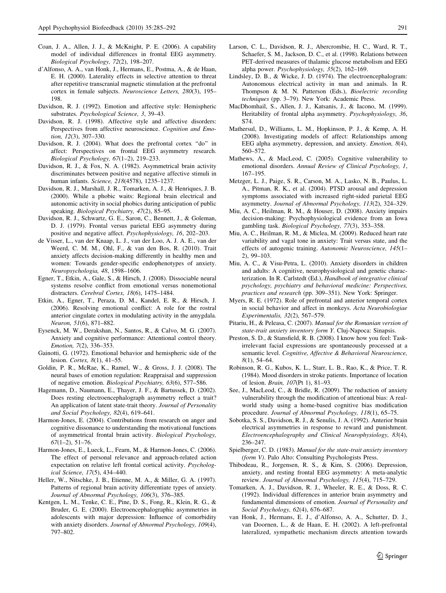- <span id="page-6-0"></span>Coan, J. A., Allen, J. J., & McKnight, P. E. (2006). A capability model of individual differences in frontal EEG asymmetry. Biological Psychology, 72(2), 198–207.
- d'Alfonso, A. A., van Honk, J., Hermans, E., Postma, A., & de Haan, E. H. (2000). Laterality effects in selective attention to threat after repetitive transcranial magnetic stimulation at the prefrontal cortex in female subjects. Neuroscience Letters, 280(3), 195– 198.
- Davidson, R. J. (1992). Emotion and affective style: Hemispheric substrates. Psychological Science, 3, 39–43.
- Davidson, R. J. (1998). Affective style and affective disorders: Perspectives from affective neuroscience. Cognition and Emotion, 12(3), 307–330.
- Davidson, R. J. (2004). What does the prefrontal cortex "do" in affect: Perspectives on frontal EEG asymmetry research. Biological Psychology, 67(1–2), 219–233.
- Davidson, R. J., & Fox, N. A. (1982). Asymmetrical brain activity discriminates between positive and negative affective stimuli in human infants. Science, 218(4578), 1235–1237.
- Davidson, R. J., Marshall, J. R., Tomarken, A. J., & Henriques, J. B. (2000). While a phobic waits: Regional brain electrical and autonomic activity in social phobics during anticipation of public speaking. Biological Psychiatry, 47(2), 85–95.
- Davidson, R. J., Schwartz, G. E., Saron, C., Bennett, J., & Goleman, D. J. (1979). Frontal versus parietal EEG asymmetry during positive and negative affect. Psychophysiology, 16, 202–203.
- de Visser, L., van der Knaap, L. J., van der Loo, A. J. A. E., van der Weerd, C. M. M., Ohl, F., & van den Bos, R. (2010). Trait anxiety affects decision-making differently in healthy men and women: Towards gender-specific endophenotypes of anxiety. Neuropsychologia, 48, 1598–1606.
- Egner, T., Etkin, A., Gale, S., & Hirsch, J. (2008). Dissociable neural systems resolve conflict from emotional versus nonemotional distracters. Cerebral Cortex, 18(6), 1475–1484.
- Etkin, A., Egner, T., Peraza, D. M., Kandel, E. R., & Hirsch, J. (2006). Resolving emotional conflict: A role for the rostral anterior cingulate cortex in modulating activity in the amygdala. Neuron, 51(6), 871–882.
- Eysenck, M. W., Derakshan, N., Santos, R., & Calvo, M. G. (2007). Anxiety and cognitive performance: Attentional control theory. Emotion, 7(2), 336–353.
- Gainotti, G. (1972). Emotional behavior and hemispheric side of the lesion. Cortex, 8(1), 41–55.
- Goldin, P. R., McRae, K., Ramel, W., & Gross, J. J. (2008). The neural bases of emotion regulation: Reappraisal and suppression of negative emotion. Biological Psychiatry, 63(6), 577–586.
- Hagemann, D., Naumann, E., Thayer, J. F., & Bartussek, D. (2002). Does resting electroencephalograph asymmetry reflect a trait? An application of latent state-trait theory. Journal of Personality and Social Psychology, 82(4), 619–641.
- Harmon-Jones, E. (2004). Contributions from research on anger and cognitive dissonance to understanding the motivational functions of asymmetrical frontal brain activity. Biological Psychology, 67(1–2), 51–76.
- Harmon-Jones, E., Lueck, L., Fearn, M., & Harmon-Jones, C. (2006). The effect of personal relevance and approach-related action expectation on relative left frontal cortical activity. Psychological Science, 17(5), 434–440.
- Heller, W., Nitschke, J. B., Etienne, M. A., & Miller, G. A. (1997). Patterns of regional brain activity differentiate types of anxiety. Journal of Abnormal Psychology, 106(3), 376–385.
- Kentgen, L. M., Tenke, C. E., Pine, D. S., Fong, R., Klein, R. G., & Bruder, G. E. (2000). Electroencephalographic asymmetries in adolescents with major depression: Influence of comorbidity with anxiety disorders. Journal of Abnormal Psychology, 109(4), 797–802.
- Larson, C. L., Davidson, R. J., Abercrombie, H. C., Ward, R. T., Schaefer, S. M., Jackson, D. C., et al. (1998). Relations between PET-derived measures of thalamic glucose metabolism and EEG alpha power. Psychophysiology, 35(2), 162–169.
- Lindsley, D. B., & Wicke, J. D. (1974). The electroencephalogram: Autonomous electrical activity in man and animals. In R. Thompson & M. N. Patterson (Eds.), Bioelectric recording techniques (pp. 3–79). New York: Academic Press.
- MacDhomhail, S., Allen, J. J., Katsanis, J., & Iacono, M. (1999). Heritability of frontal alpha asymmetry. Psychophysiology, 36, S74.
- Mathersul, D., Williams, L. M., Hopkinson, P. J., & Kemp, A. H. (2008). Investigating models of affect: Relationships among EEG alpha asymmetry, depression, and anxiety. Emotion, 8(4), 560–572.
- Mathews, A., & MacLeod, C. (2005). Cognitive vulnerability to emotional disorders. Annual Review of Clinical Psychology, 1, 167–195.
- Metzger, L. J., Paige, S. R., Carson, M. A., Lasko, N. B., Paulus, L. A., Pitman, R. K., et al. (2004). PTSD arousal and depression symptoms associated with increased right-sided parietal EEG asymmetry. Journal of Abnormal Psychology, 113(2), 324–329.
- Miu, A. C., Heilman, R. M., & Houser, D. (2008). Anxiety impairs decision-making: Psychophysiological evidence from an Iowa gambling task. Biological Psychology, 77(3), 353–358.
- Miu, A. C., Heilman, R. M., & Miclea, M. (2009). Reduced heart rate variability and vagal tone in anxiety: Trait versus state, and the effects of autogenic training. Autonomic Neuroscience, 145(1– 2), 99–103.
- Miu, A. C., & Visu-Petra, L. (2010). Anxiety disorders in children and adults: A cognitive, neurophysiological and genetic characterization. In R. Carlstedt (Ed.), Handbook of integrative clinical psychology, psychiatry and behavioral medicine: Perspectives, practices and research (pp. 309–351). New York: Springer.
- Myers, R. E. (1972). Role of prefrontal and anterior temporal cortex in social behavior and affect in monkeys. Acta Neurobiologiae Experimentalis, 32(2), 567–579.
- Pitariu, H., & Peleasa, C. (2007). Manual for the Romanian version of state-trait anxiety inventory form Y. Cluj-Napoca: Sinapsis.
- Preston, S. D., & Stansfield, R. B. (2008). I know how you feel: Taskirrelevant facial expressions are spontaneously processed at a semantic level. Cognitive, Affective & Behavioral Neuroscience, 8(1), 54–64.
- Robinson, R. G., Kubos, K. L., Starr, L. B., Rao, K., & Price, T. R. (1984). Mood disorders in stroke patients. Importance of location of lesion. Brain, 107(Pt 1), 81–93.
- See, J., MacLeod, C., & Bridle, R. (2009). The reduction of anxiety vulnerability through the modification of attentional bias: A realworld study using a home-based cognitive bias modification procedure. Journal of Abnormal Psychology, 118(1), 65-75.
- Sobotka, S. S., Davidson, R. J., & Senulis, J. A. (1992). Anterior brain electrical asymmetries in response to reward and punishment. Electroencephalography and Clinical Neurophysiology, 83(4), 236–247.
- Spielberger, C. D. (1983). Manual for the state-trait anxiety inventory (form V). Palo Alto: Consulting Psychologists Press.
- Thibodeau, R., Jorgensen, R. S., & Kim, S. (2006). Depression, anxiety, and resting frontal EEG asymmetry: A meta-analytic review. Journal of Abnormal Psychology, 115(4), 715–729.
- Tomarken, A. J., Davidson, R. J., Wheeler, R. E., & Doss, R. C. (1992). Individual differences in anterior brain asymmetry and fundamental dimensions of emotion. Journal of Personality and Social Psychology, 62(4), 676–687.
- van Honk, J., Hermans, E. J., d'Alfonso, A. A., Schutter, D. J., van Doornen, L., & de Haan, E. H. (2002). A left-prefrontal lateralized, sympathetic mechanism directs attention towards